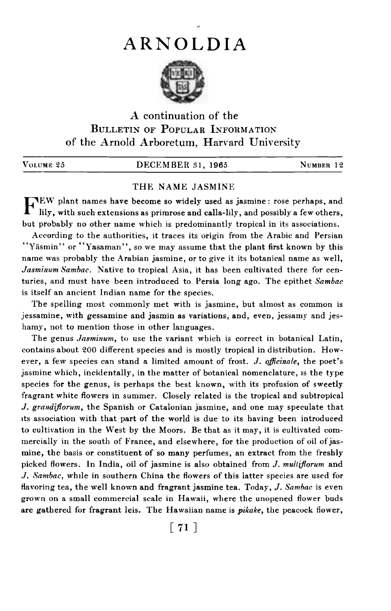## ARNOLDIA

~



## A continuation of the BULLETIN OF POPULAR INFORMATION of the Arnold Arboretum, Harvard University

| VOLUME 25 | DECEMBER 31, 1965 | NUMBER 12 |  |
|-----------|-------------------|-----------|--|
|           |                   |           |  |

## THE NAME JASMINE

FEW plant names have become so widely used as jasmine: rose perhaps, and lily, with such extensions as primrose and calla-lily, and possibly a few others, but probably no other name which is predominantly tropical in its associations.

According to the authorities, it traces its origin from the Arabic and Persian "Yasmin" or "Yasaman", so we may assume that the plant first known by this name was probably the Arabian jasmine, or to give it its botanical name as well, Jasminum Sambac. Native to tropical Asia, it has been cultivated there for centuries, and must have been introduced to Persia long ago. The epithet Sambac is itself an ancient Indian name for the species.

The spelling most commonly met with is jasmine, but almost as common is ,jessamine, with gessamine and jasmin as variations, and, even, jessamy and jeshamy, not to mention those in other languages.

The genus Jasminum, to use the variant which is correct in botanical Latin, contains about 200 different species and is mostly tropical in distribution. However, a few species can stand a limited amount of frost. J. officinale, the poet's jasmine which, incidentally, in the matter of botanical nomenclature, is the type species for the genus, is perhaps the best known, with its profusion of sweetly fragrant white flowers in summer. Closely related is the tropical and subtropical J. grandiflorum, the Spanish or Catalonian jasmine, and one may speculate that its association with that part of the world is due to its having been introduced to cultivation in the West by the Moors. Be that as it may, it is cultivated commercially in the south of France, and elsewhere, for the production of oil of jasmine, the basis or constituent of so many perfumes, an extract from the freshly picked flowers. In India, oil of jasmine is also obtained from  $J.$  multiflorum and J. Sambac, while in southern China the flowers of this latter species are used for flavoring tea, the well known and fragrant jasmine tea. Today, J. Sambac is even grown on a small commercial scale in Hawaii, where the unopened flower buds are gathered for fragrant leis. The Hawaiian name is *pikake*, the peacock flower,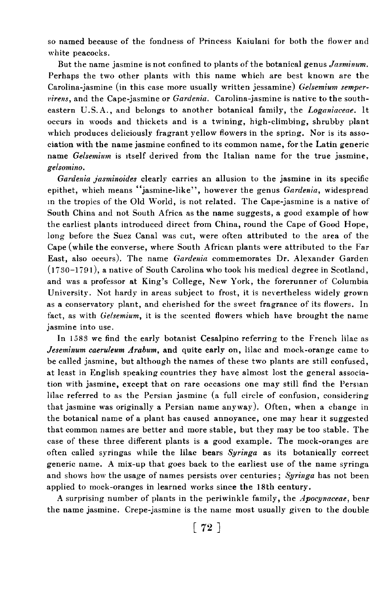so named because of the fondness of Princess Kaiulani for both the flower and white peacocks.

But the name jasmine is not confined to plants of the botanical genus Jasminum. Perhaps the two other plants with this name which are best known are the Carolina-jasmine (in this case more usually written jessamine) Gelsemium semper $virens$ , and the Cape-jasmine or  $Gardenia$ . Carolina-jasmine is native to the southeastern U.S.A., and belongs to another botanical family, the Loganiaceae. It occurs in woods and thickets and is a twining, high-climbing, shrubby plant which produces deliciously fragrant yellow flowers in the spring. Nor is its association with the name jasmine confined to its common name, for the Latin generic name Gelsemium is itself derived from the Italian name for the true jasmine, gelsomino.

Gardenia jasminoides clearly carries an allusion to the jasmine in its specific epithet, which means "jasmine-like", however the genus Gardenia, widespread in the tropics of the Old World, is not related. The Cape-jasmine is a native of South China and not South Africa as the name suggests, a good example of how the earliest plants introduced direct from China, round the Cape of Good Hope, long before the Suez Canal was cut, were often attributed to the area of the Cape (while the converse, where South African plants were attributed to the Far East, also occurs). The name Gardenia commemorates Dr. Alexander Garden  $(1730-1791)$ , a native of South Carolina who took his medical degree in Scotland, and was a professor at King's College, New York, the forerunner of Columbia University. Not hardy in areas subject to frost, it is nevertheless widely grown as a conservatory plant, and cherished for the sweet fragrance of its flowers. In fact, as with Gelsemium, it is the scented flowers which have brought the name jasmine into use.

In 1583 we find the early botanist Cesalpino referring to the French lilac as Jeseminum caeruleum Arabum, and quite early on, lilac and mock-orange came to be called jasmine, but although the names of these two plants are still confused, at least in English speaking countries they have almost lost the general association with jasmine, except that on rare occasions one may still find the Persian lilac referred to as the Persian jasmine (a full circle of confusion, considering that jasmine was originally a Persian name anyway). Often, when a change in the botanical name of a plant has caused annoyance, one may hear it suggested that common names are better and more stable, but they may be too stable. The case of these three different plants is a good example. The mock-oranges are often called syringas while the lilac bears Syringa as its botanically correct generic name. A mix-up that goes back to the earliest use of the name syringa and shows how the usage of names persists over centuries; Syringa has not been applied to mock-oranges in learned works since the l8th century.

A surprising number of plants in the periwinkle family, the Apocynaceae, bear the name jasmine. Crepe-jasmine is the name most usually given to the double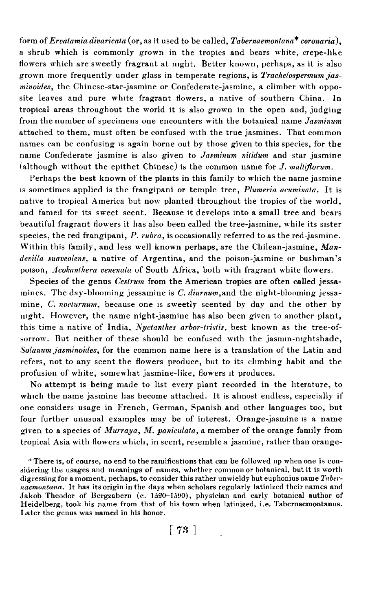form of *Ervatamia divaricata* (or, as it used to be called, *Tabernaemontana*<sup>\*</sup> coronaria), a shrub which is commonly grown in the tropics and bears white, crepe-like flowers which are sweetly fragrant at night. Better known, perhaps, as it is also grown more frequently under glass in temperate regions, is Trachelospermum jasminoides, the Chinese-star-jasmine or Confederate-jasmine, a climber with opposite leaves and pure white fragrant flowers, a native of southern China. In tropical areas throughout the world it is also grown in the open and, judging from the number of specimens one encounters with the botanical name Jasminum attached to them, must often be confused with the true jasmines. That common names can be confusing is again borne out by those given to this species, for the name Confederate jasmine is also given to Jasminum nitidum and star jasmine (although without the epithet Chinese) is the common name for  $J$ , multiflorum.

Perhaps the best known of the plants in this family to which the name jasmine is sometimes applied is the frangipani or temple tree, Plumeria acuminata. It is native to tropical America but now planted throughout the tropics of the world, and famed for its sweet scent. Because it develops into a small tree and bears beautiful fragrant flowers it has also been called the tree-jasmine, while its sister species, the red frangipani,  $P$ . *rubra*, is occasionally referred to as the red-jasmine. Within this family, and less well known perhaps, are the Chilean-jasmine, Mandevilla suaveolens, a native of Argentina, and the poison-jasmine or bushman's poison, Acokanthera venenata of South Africa, both with fragrant white flowers.

Species of the genus Cestrum from the American tropics are often called jessamines. The day-blooming jessamine is  $C$ , diurnum, and the night-blooming jessamine, C. nocturnum, because one is sweetly scented by day and the other by night. However, the name night-jasmine has also been given to another plant, this time a native of India, Nyctanthes arbor-tristis, best known as the tree-ofsorrow. But neither of these should be confused with the jasmin-nightshade, Solanum jasminoides, for the common name here is a translation of the Latin and refers, not to any scent the flowers produce, but to its chmbing habit and the profusion of white, somewhat jasmine-like, flowers it produces.

No attempt is being made to list every plant recorded in the literature, to which the name jasmine has become attached. It is almost endless, especially if one considers usage in French, German, Spanish and other languages too, but four further unusual examples may be of interest. Orange-jasmine is a name given to a species of Murraya, M. paniculata, a member of the orange family from tropical Asia with flowers which, in scent, resemble a jasmine, rather than orange-

\* There is, of course, no end to the ramifications that can be followed up when one is considering the usages and meanings of names, whether common or botanical, but it is worth digressing for a moment, perhaps, to consider this rather unwieldy but euphonius name Tabernaemontana. It has its origin in the days when scholars regularly latinized their names and Jakob Theodor of Bergzabern (c. 1520-1590), physician and early botanical author of Heidelberg, took his name from that of his town when latinized, i.e. Tabernaemontanus. Later the genus was named in his honor.